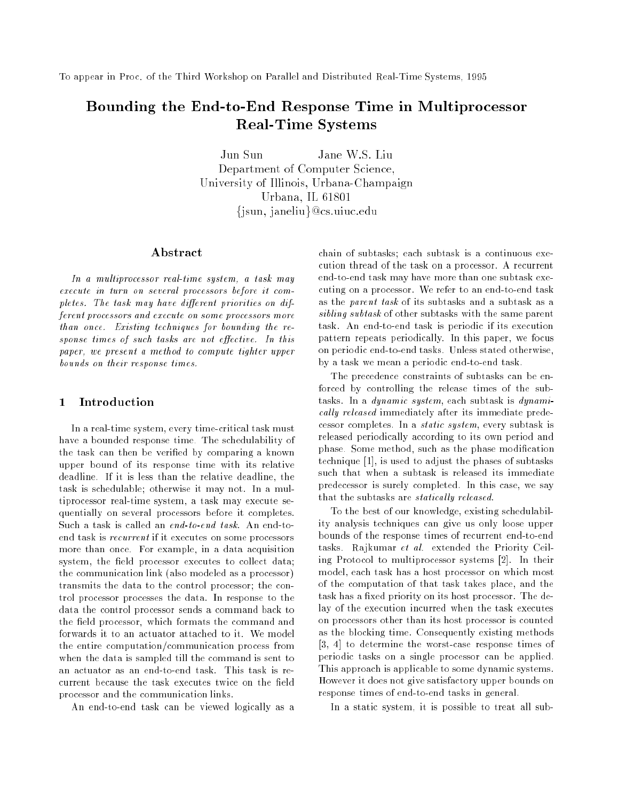To appear in Proc. of the Third Workshop on Parallel and Distributed Real-Time Systems, 1995

# Bounding the End-to-End Response Time in Multiprocessor Real-Time Systems

Jun SunJane W.S. Liu

Department of Computer Science,University of Indians in the University of Indians and Urbana Champaign Champaign Champaign Champaign Champaign Urbana, IL 61801 ${\{sim, janeliu\}}@cs.uuc.edu$ 

In <sup>a</sup> multiprocessor real-time system, <sup>a</sup> task may execute in turn on several processors before it completes. The task may have dierent priorities on different processors and execute on some processors more than once. Existing techniques for bounding the response times if such this are not effective. She mas paper, we present <sup>a</sup> method to compute tighter upper bounds on their response times.

#### $\mathbf{1}$ Introduction

In a real-time system, every time-critical task must have a bounded response time. The schedulability of the task can then be veried by comparing a known upper bound of its response time with its relative deadline. If it is less than the relative deadline, the task is schedulable; otherwise it may not. In a multiprocessor real-time system, a task may execute sequentially on several processors before it completes. Such a task is called an end-to-end task. An end-toend task is recurrent if it executes on some processors more than once. For example, in a data acquisition system, the field processor executes to collect data; the communication link (also modeled as a processor) transmits the data to the control processor; the control processor processes the data. In response to the data the control processor sends a command back to the field processor, which formats the command and forwards it to an actuator attached to it. We model the entire computation/communication process from when the data is sampled till the command is sent to an actuator as an end-to-end task. This task is recurrent because the task executes twice on the field processor and the communication links.

An end-to-end task can be viewed logically as a

chain of subtasks; each subtask is a continuous execution thread of the task on a processor. A recurrent end-to-end task may have more than one subtask executing on a processor. We refer to an end-to-end task as the parent task of its subtasks and a subtask as a sibling subtask of other subtasks with the same parent task. An end-to-end task is periodic if its execution pattern repeats periodically. In this paper, we focus on periodic end-to-end tasks. Unless stated otherwise, by a task we mean a periodic end-to-end task.

The precedence constraints of subtasks can be enforced by controlling the release times of the subtasks. In a dynamic system, each subtask is dynamical ly released immediately after its immediate predecessor completes. In a static system, every subtask is released periodically according to its own period and phase. Some method, such as the phase modification technique [1], is used to adjust the phases of subtasks such that when a subtask is released its immediate predecessor is surely completed. In this case, we say that the subtasks are *statically released*.

To the best of our knowledge, existing schedulability analysis techniques can give us only loose upper bounds of the response times of recurrent end-to-end tasks. Rajkumar et al. extended the Priority Ceiling Protocol to multiprocessor systems [2]. In their model, each task has a host processor on which most of the computation of that task takes place, and the task has a fixed priority on its host processor. The delay of the execution incurred when the task executes on processors other than its host processor is counted as the blocking time. Consequently existing methods [3, 4] to determine the worst-case response times of periodic tasks on a single processor can be applied. This approach is applicable to some dynamic systems. However it does not give satisfactory upper bounds on response times of end-to-end tasks in general.

In a static system, it is possible to treat all sub-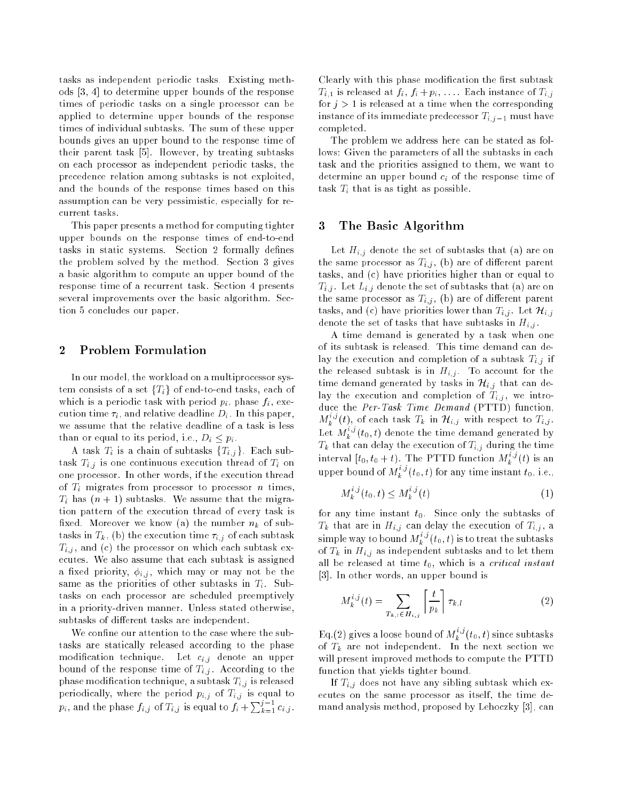tasks as independent periodic tasks. Existing methods [3, 4] to determine upper bounds of the response times of periodic tasks on a single processor can be applied to determine upper bounds of the response times of individual subtasks. The sum of these upper bounds gives an upper bound to the response time of their parent task [5]. However, by treating subtasks on each processor as independent periodic tasks, the precedence relation among subtasks is not exploited, and the bounds of the response times based on this assumption can be very pessimistic, especially for recurrent tasks.

This paper presents a method for computing tighter upper bounds on the response times of end-to-end tasks in static systems. Section 2 formally defines the problem solved by the method. Section 3 gives a basic algorithm to compute an upper bound of the response time of a recurrent task. Section 4 presents several improvements over the basic algorithm. Section 5 concludes our paper.

### 2 Problem Formulation

In our model, the workload on a multiprocessor system consists of a set  ${T<sub>i</sub>}$  of end-to-end tasks, each of which is a periodic task with period  $p_i$ , phase  $f_i$ , execution time  $\tau_i$ , and relative deadline  $D_i$ . In this paper, we assume that the relative deadline of a task is less than or equal to its period, i.e.,  $D_i \leq p_i$ .

A task  $T_i$  is a chain of subtasks  $\{T_{i,j}\}\.$  Each subtask  $T_{i,j}$  is one continuous execution thread of  $T_i$  on one processor. In other words, if the execution thread of  $T_i$  migrates from processor to processor *n* times,  $T_i$  has  $(n + 1)$  subtasks. We assume that the migration pattern of the execution thread of every task is fixed. Moreover we know (a) the number  $n_k$  of subtasks in  $T_k$ , (b) the execution time  $\tau_{i,j}$  of each subtask  $T_{i,j}$ , and (c) the processor on which each subtask executes. We also assume that each subtask is assigned a fixed priority,  $\phi_{i,j}$ , which may or may not be the same as the priorities of other subtasks in  $T_i$ . Subtasks on each processor are scheduled preemptively in a priority-driven manner. Unless stated otherwise, subtasks of different tasks are independent.

We confine our attention to the case where the subtasks are statically released according to the phase modification technique. Let  $c_{i,j}$  denote an upper bound of the response time of  $T_{i,j}$ . According to the phase modification technique, a subtask  $T_{i,j}$  is released periodically, where the period  $p_{i,j}$  of  $T_{i,j}$  is equal to  $p_i$ , and the phase  $f_{i,j}$  of  $T_{i,j}$  is equal to  $f_i + \sum_{k=1}^{j-1} c_{i,j}$ . Clearly with this phase modification the first subtask  $T_{i,1}$  is released at  $f_i, f_i + p_i, \ldots$ . Each instance of  $T_{i,j}$ for  $j > 1$  is released at a time when the corresponding instance of its immediate predecessor  $T_{i,j-1}$  must have completed.

The problem we address here can be stated as follows: Given the parameters of all the subtasks in each task and the priorities assigned to them, we want to determine an upper bound  $c_i$  of the response time of task  $T_i$  that is as tight as possible.

#### The Basic Algorithm 3

Let  $H_{i,j}$  denote the set of subtasks that (a) are on the same processor as  $T_{i,j}$ , (b) are of different parent tasks, and (c) have priorities higher than or equal to  $T_{i,j}$ . Let  $L_{i,j}$  denote the set of subtasks that (a) are on the same processor as  $T_{i,j}$ , (b) are of different parent tasks, and (c) have priorities lower than  $T_{i,j}$ . Let  $\mathcal{H}_{i,j}$ denote the set of tasks that have subtasks in  $H_{i,j}$ .

A time demand is generated by a task when one of its subtask is released. This time demand can delay the execution and completion of a subtask  $T_{i,j}$  if the released subtask is in  $H_{i,j}$ . To account for the time demand generated by tasks in  $\mathcal{H}_{i,j}$  that can delay the execution and completion of  $T_{i,j}$ , we introduce the Per-Task Time Demand (PTTD) function,  ${M}^{\rightarrow}_{k}$  (t), of each task  $T_k$  in  $\mathcal{H}_{i,j}$  with respect to  $T_{i,j}$ . Let  $M_k^{\rightarrow}(t_0,t)$  denote the time demand generated by  $T_k$  that can delay the execution of  $T_{i,j}$  during the time interval [ $t_0,t_0+t$ ]. The PTTD function  $M_k^{\tau,\sigma}(t)$  is an upper bound of  $M_{k}^{\rightarrow \nu }\left( t_{0},t\right)$  for any time instant  $t_{0},$  i.e.,

$$
M_k^{i,j}(t_0, t) \le M_k^{i,j}(t) \tag{1}
$$

for any time instant  $t_0$ . Since only the subtasks of  $T_k$  that are in  $H_{i,j}$  can delay the execution of  $T_{i,j}$ , a simple way to bound  $M_{\vec{k}}^{\;\;\;\;\;\;\;\;\;\;\; (t_0,t)}$  is to treat the subtasks of  $T_k$  in  $H_{i,j}$  as independent subtasks and to let them all be released at time  $t_0$ , which is a *critical instant* [3]. In other words, an upper bound is

$$
M_k^{i,j}(t) = \sum_{T_{k,l} \in H_{i,j}} \left[ \frac{t}{p_k} \right] \tau_{k,l} \tag{2}
$$

Eq.(2) gives a loose bound of  $M_k^{\rightarrow\,\prime}(t_0,t)$  since subtasks of  $T_k$  are not independent. In the next section we will present improved methods to compute the PTTD function that yields tighter bound.

If  $T_{i,j}$  does not have any sibling subtask which executes on the same processor as itself, the time demand analysis method, proposed by Lehoczky [3], can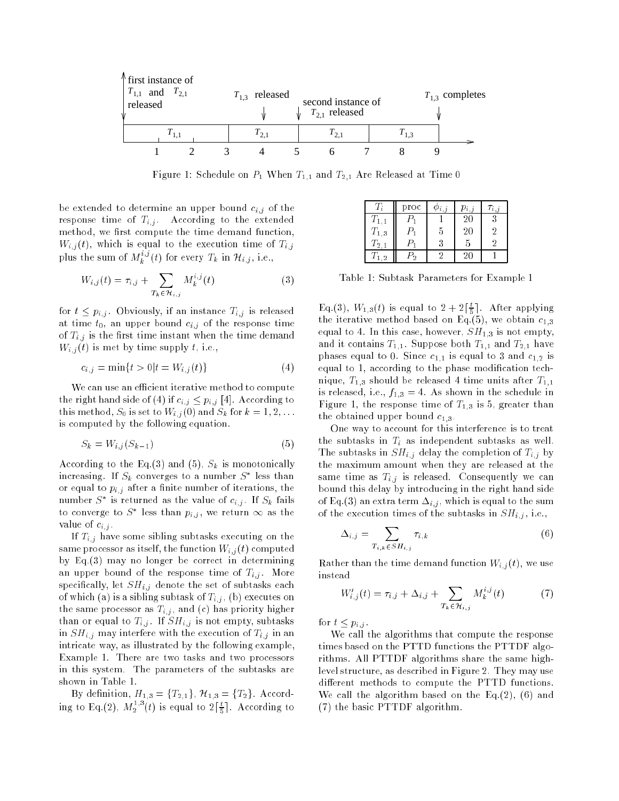

Figure 1: Schedule on  $P_1$  When  $T_{1,1}$  and  $T_{2,1}$  Are Released at Time 0

be extended to determine an upper bound  $c_{i,j}$  of the response time of  $T_{i,j}$ . According to the extended method, we first compute the time demand function,  $W_{i,j}(t)$ , which is equal to the execution time of  $T_{i,j}$ plus the sum of  $M_k^{\pi,\sigma}(t)$  for every  $T_k$  in  $\mathcal{H}_{i,j}$  , i.e.,

$$
W_{i,j}(t) = \tau_{i,j} + \sum_{T_k \in \mathcal{H}_{i,j}} M_k^{i,j}(t)
$$
 (3)

for  $t \leq p_{i,j}$ . Obviously, if an instance  $T_{i,j}$  is released at time  $t_0$ , an upper bound  $c_{i,j}$  of the response time of  $T_{i,j}$  is the first time instant when the time demand  $W_{i,j}(t)$  is met by time supply t, i.e.,

$$
c_{i,j} = \min\{t > 0 | t = W_{i,j}(t)\}\tag{4}
$$

We can use an efficient iterative method to compute the right hand side of (4) if  $c_{i,j} \leq p_{i,j}$  [4]. According to this method,  $S_0$  is set to  $W_{i,j}(0)$  and  $S_k$  for  $k = 1, 2, \ldots$ is computed by the following equation.

$$
S_k = W_{i,j}(S_{k-1})\tag{5}
$$

According to the Eq.(3) and (5),  $S_k$  is monotonically increasing. If  $S_k$  converges to a number  $S$  fess than or equal to  $p_{i,j}$  after a finite number of iterations, the number  $S$  is returned as the value of  $c_{i,j}$ . If  $S_k$  fails to converge to S less than  $p_{i,j}$ , we return  $\infty$  as the value of  $c_{i,i}$ .

If  $T_{i,j}$  have some sibling subtasks executing on the same processor as itself, the function  $W_{i,j}(t)$  computed by Eq.(3) may no longer be correct in determining an upper bound of the response time of  $T_{i,j}$ . More specifically, let  $SH_{i,j}$  denote the set of subtasks each of which (a) is a sibling subtask of  $T_{i,j}$ , (b) executes on the same processor as  $T_{i,j}$ , and (c) has priority higher than or equal to  $T_{i,j}$ . If  $SH_{i,j}$  is not empty, subtasks in  $SH_{i,j}$  may interfere with the execution of  $T_{i,j}$  in an intricate way, as illustrated by the following example, Example 1. There are two tasks and two processors in this system. The parameters of the subtasks are shown in Table 1.

By definition,  $H_{1,3} = \{T_{2,1}\}, \mathcal{H}_{1,3} = \{T_2\}.$  According to Eq.(2),  $M_2^{++}(t)$  is equal to  $2|\frac{1}{5}|$ . According to

|          | proc | $\mathbf{r}$ | $\mathcal{D}_{2}$ . |    |
|----------|------|--------------|---------------------|----|
|          |      |              | 20                  |    |
| 11.3     |      | b            | 20                  | ۰, |
| $12^{-}$ |      | 3            | h.                  |    |
|          | ٠,   |              |                     |    |

Table 1: Subtask Parameters for Example 1

Eq.(3),  $W_{1,3}(t)$  is equal to  $2 + 2|\frac{1}{5}|$ . After applying the iterative method based on Eq.(5), we obtain  $c_{1,3}$ equal to 4. In this case, however,  $SH_{1,3}$  is not empty, and it contains  $T_{1,1}$ . Suppose both  $T_{1,1}$  and  $T_{2,1}$  have phases equal to 0. Since  $c_{1,1}$  is equal to 3 and  $c_{1,2}$  is equal to 1, according to the phase modification technique,  $T_{1,3}$  should be released 4 time units after  $T_{1,1}$ is released, i.e.,  $f_{1,3} = 4$ . As shown in the schedule in Figure 1, the response time of  $T_{1,3}$  is 5, greater than the obtained upper bound  $c_{1,3}$ .

One way to account for this interference is to treat the subtasks in  $T_i$  as independent subtasks as well. The subtasks in  $SH_{i,j}$  delay the completion of  $T_{i,j}$  by the maximum amount when they are released at the same time as  $T_{i,j}$  is released. Consequently we can bound this delay by introducing in the right hand side of Eq.(3) an extra term  $\Delta_{i,j}$ , which is equal to the sum of the execution times of the subtasks in  $SH_{i,j}$ , i.e.,

$$
\Delta_{i,j} = \sum_{T_{i,k} \in SH_{i,j}} \tau_{i,k} \tag{6}
$$

Rather than the time demand function  $W_{i,j}(t)$ , we use instead

$$
W'_{i,j}(t) = \tau_{i,j} + \Delta_{i,j} + \sum_{T_k \in \mathcal{H}_{i,j}} M_k^{i,j}(t)
$$
 (7)

for  $t \leq p_{i,j}$ .

We call the algorithms that compute the response times based on the PTTD functions the PTTDF algorithms. All PTTDF algorithms share the same highlevel structure, as described in Figure 2. They may use different methods to compute the PTTD functions. We call the algorithm based on the Eq. $(2)$ ,  $(6)$  and (7) the basic PTTDF algorithm.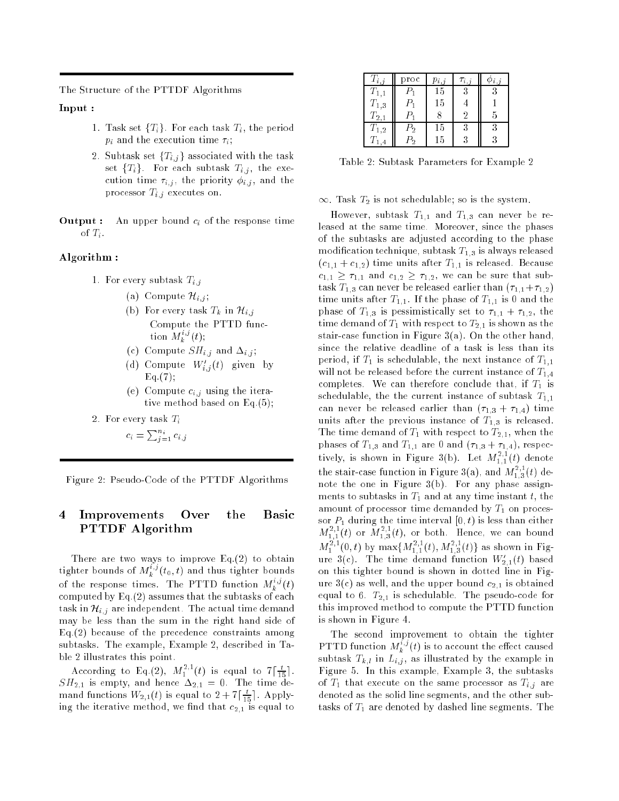The Structure of the PTTDF Algorithms

#### Input :

- 1. Task set  ${T_i}$ . For each task  $T_i$ , the period  $p_i$  and the execution time  $\tau_i$ ;
- 2. Subtask set  ${T_{i,j}}$  associated with the task set  ${T<sub>i</sub>}$ . For each subtask  $T<sub>i,j</sub>$ , the execution time  $\tau_{i,j}$ , the priority  $\phi_{i,j}$ , and the processor  $T_{i,j}$  executes on.
- **Output :** An upper bound  $c_i$  of the response time of  $T_i$ .

### Algorithm :

- 1. For every subtask  $T_{i,j}$ 
	- (a) Compute  $\mathcal{H}_{i,j}$ ;
	- (b) For every task  $T_k$  in  $\mathcal{H}_{i,j}$ Compute the PTTD function  $M_k^{\gamma_{\nu}}(t)$ ;
	- (c) Compute  $SH_{i,j}$  and  $\Delta_{i,j}$ ;
	- (d) Compute  $W_{i,j}(t)$  given by  $Eq.(7);$
	- (e) Compute  $c_{i,j}$  using the iterative method based on Eq.(5);
- 2. For every task  $T_i$

$$
c_i = \sum_{j=1}^{n_i} c_{i,j}
$$

Figure 2: Pseudo-Code of the PTTDF Algorithms

# 4 Improvements Over the Basic PTTDF Algorithm

There are two ways to improve  $Eq.(2)$  to obtain tighter bounds of  $M_k^{\rightarrow\sigma}(t_0,t)$  and thus tighter bounds of the response times. The PTTD function  $M_k^{\rightarrow}(t)$ computed by Eq.(2) assumes that the subtasks of each task in  $\mathcal{H}_{i,j}$  are independent. The actual time demand may be less than the sum in the right hand side of Eq.(2) because of the precedence constraints among subtasks. The example, Example 2, described in Table 2 illustrates this point.

According to Eq.(2),  $M_1^{++}(t)$  is equal to  $7|\frac{1}{15}|$ .  $SH_{2,1}$  is empty, and hence  $\Delta_{2,1} = 0$ . The time demand functions  $W_{2,1}(t)$  is equal to  $2 + i \frac{1}{15}$ . Applying the iterative method, we find that  $c_{2,1}$  is equal to

|           | proc    | $i_{i,j}$ | $T_{2}$ |   |
|-----------|---------|-----------|---------|---|
|           |         | 15        | 3       |   |
| $T_{1,3}$ |         | 15        |         |   |
| Ί,        |         |           | 9       | Б |
| $\cdot$ 2 | $P_{2}$ | 15        | 3       |   |
| - 4       |         | 15        | 3       |   |

Table 2: Subtask Parameters for Example 2

#### $\infty$ . Task  $T_2$  is not schedulable; so is the system.

However, subtask  $T_{1,1}$  and  $T_{1,3}$  can never be released at the same time. Moreover, since the phases of the subtasks are adjusted according to the phase modification technique, subtask  $T_{1,3}$  is always released  $(c_{1,1} + c_{1,2})$  time units after  $T_{1,1}$  is released. Because  $c_{1,1} \geq \tau_{1,1}$  and  $c_{1,2} \geq \tau_{1,2}$ , we can be sure that subtask  $T_{1,3}$  can never be released earlier than  $(\tau_{1,1}+\tau_{1,2})$ time units after  $T_{1,1}$ . If the phase of  $T_{1,1}$  is 0 and the phase of  $T_{1,3}$  is pessimistically set to  $\tau_{1,1} + \tau_{1,2}$ , the time demand of  $T_1$  with respect to  $T_{2,1}$  is shown as the stair-case function in Figure  $3(a)$ . On the other hand, since the relative deadline of a task is less than its period, if  $T_1$  is schedulable, the next instance of  $T_{1,1}$ will not be released before the current instance of  $T_{1,4}$ completes. We can therefore conclude that, if  $T_1$  is schedulable, the the current instance of subtask  $T_{1,1}$ can never be released earlier than  $(\tau_{1,3} + \tau_{1,4})$  time units after the previous instance of  $T_{1,3}$  is released. The time demand of  $T_1$  with respect to  $T_{2,1}$ , when the phases of  $T_{1,3}$  and  $T_{1,1}$  are 0 and  $(\tau_{1,3} + \tau_{1,4})$ , respectively, is shown in Figure 3(b). Let  $M_{1,1}^{-1}(t)$  denote the stair-case function in Figure 3(a), and  $M_{1,3}^{++}(t)$  denote the one in Figure  $3(b)$ . For any phase assignments to subtasks in  $T_1$  and at any time instant t, the amount of processor time demanded by  $T_1$  on processor  $P_1$  during the time interval  $[0, t)$  is less than either  $M_{1,1}^{-1}(t)$  or  $M_{1,3}^{-1}(t),$  or both. Hence, we can bound  $M_1^{++}(0,t)$  by  $\max\{M_{1,1}^{++}(t),M_{1,3}^{++}(t)\}$  as shown in Figure  $\mathfrak{z}(c)$ . The time demand function  $W_{2,1}(t)$  based on this tighter bound is shown in dotted line in Figure  $3(c)$  as well, and the upper bound  $c_{2,1}$  is obtained equal to 6.  $T_{2,1}$  is schedulable. The pseudo-code for this improved method to compute the PTTD function is shown in Figure 4.

The second improvement to obtain the tighter PTTD function  $M_{k}^{\rightarrow}(t)$  is to account the effect caused subtask  $T_{k,l}$  in  $L_{i,j}$ , as illustrated by the example in Figure 5. In this example, Example 3, the subtasks of  $T_1$  that execute on the same processor as  $T_{i,j}$  are denoted as the solid line segments, and the other subtasks of  $T_1$  are denoted by dashed line segments. The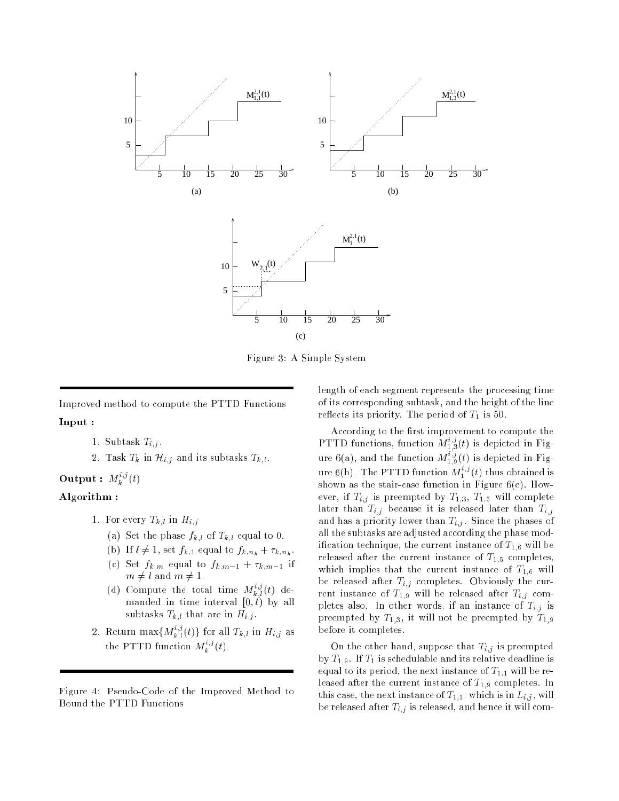

Figure 3: A Simple System

Improved method to compute the PTTD Functions Input :

1. Subtask  $T_{i,j}$ .

2. Task 
$$
T_k
$$
 in  $\mathcal{H}_{i,j}$  and its subtasks  $T_{k,l}$ .

Output :  $M_k^{\gamma}(t)$ 

### Algorithm :

- 1. For every  $T_{k,l}$  in  $H_{i,j}$ 
	- (a) Set the phase  $f_{k,l}$  of  $T_{k,l}$  equal to 0.
	- (b) If  $l \neq 1$ , set  $f_{k,1}$  equal to  $f_{k,n_k} + \tau_{k,n_k}$ .
	- (c) Set  $f_{k,m}$  equal to  $f_{k,m-1} + \tau_{k,m-1}$  if  $m \neq l$  and  $m \neq 1$ .
	- (d) Compute the total time  $M_{k,l}^{\text{\tiny{top}}}(t)$  demanded in time interval  $[0, t)$  by all subtasks  $T_{k,l}$  that are in  $H_{i,j}$ .
- 2. Return max $\{M_{k,l}^{\circ}(t)\}$  for all  $T_{k,l}$  in  $H_{i,j}$  as the PTTD function  $M_k^{\rightarrow}(t)$ .

Figure 4: Pseudo-Code of the Improved Method to Bound the PTTD Functions

length of each segment represents the processing time of its corresponding subtask, and the height of the line reflects its priority. The period of  $T_1$  is 50.

According to the first improvement to compute the PTTD functions, function  $M^{+3}_{1,3}(t)$  is depicted in Figure 6(a), and the function  $M^{19}_{1,9}(t)$  is depicted in Figure 6(b). The PTTD function  $M_1^{\text{th}}(t)$  thus obtained is shown as the stair-case function in Figure  $6(c)$ . However, if  $T_{i,j}$  is preempted by  $T_{1,3}$ ,  $T_{1,5}$  will complete later than  $T_{i,j}$  because it is released later than  $T_{i,j}$ and has a priority lower than  $T_{i,j}$ . Since the phases of all the subtasks are adjusted according the phase modification technique, the current instance of  $T_{1,6}$  will be released after the current instance of  $T_{1,5}$  completes, which implies that the current instance of  $T_{1,6}$  will be released after  $T_{i,j}$  completes. Obviously the current instance of  $T_{1,9}$  will be released after  $T_{i,j}$  completes also. In other words, if an instance of  $T_{i,j}$  is preempted by  $T_{1,3}$ , it will not be preempted by  $T_{1,9}$ before it completes.

On the other hand, suppose that  $T_{i,j}$  is preempted by  $T_{1,9}$ . If  $T_1$  is schedulable and its relative deadline is equal to its period, the next instance of  $T_{1,1}$  will be released after the current instance of  $T_{1,9}$  completes. In this case, the next instance of  $T_{1,1}$ , which is in  $L_{i,j}$ , will be released after  $T_{i,j}$  is released, and hence it will com-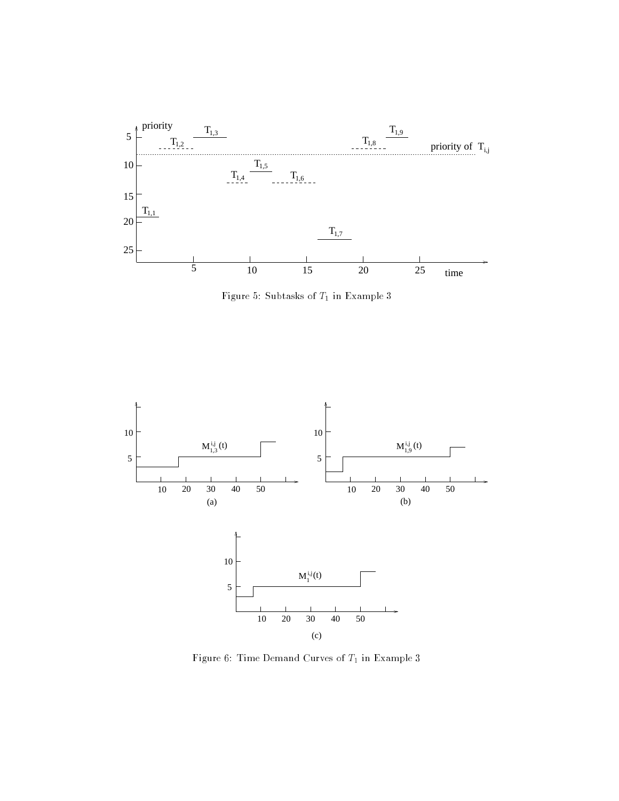





Figure 6: Time Demand Curves of  $T_1$  in Example 3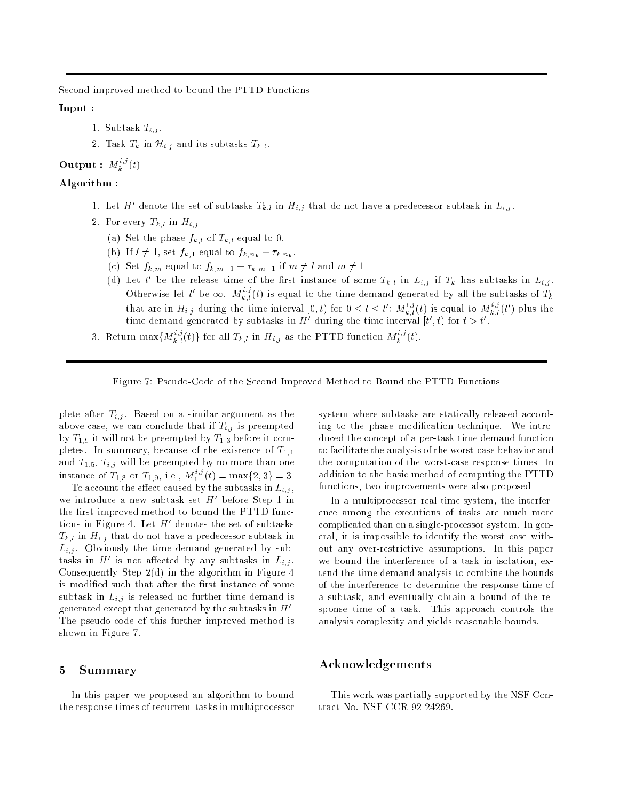Second improved method to bound the PTTD Functions

#### Input :

- 1. Subtask  $T_{i,j}$ .
- 2. Task  $T_k$  in  $\mathcal{H}_{i,j}$  and its subtasks  $T_{k,l}$ .

Output :  $M_k^{\alpha}(t)$ 

# Algorithm :

- 1. Let H denote the set of subtasks  $T_{k,l}$  in  $H_{i,j}$  that do not have a predecessor subtask in  $L_{i,j}$ .
- 2. For every  $T_{k,l}$  in  $H_{i,j}$ 
	- (a) Set the phase  $f_{k,l}$  of  $T_{k,l}$  equal to 0.
	- (b) If  $l \neq 1$ , set  $f_{k,1}$  equal to  $f_{k,n_k} + \tau_{k,n_k}$ .
	- (c) Set  $f_{k,m}$  equal to  $f_{k,m-1} + \tau_{k,m-1}$  if  $m \neq l$  and  $m \neq 1$ .
	- (d) Let the the release time of the first instance of some  $I_{k,l}$  in  $L_{i,i}$  if  $I_k$  has subtasks in  $L_{i,i}$ . Otherwise let  $t'$  be  $\infty$ .  $M_{k,l}^{(t)}(t)$  is equal to the time demand generated by all the subtasks of  $T_k$ that are in  $H_{i,j}$  during the time interval  $[0,t)$  for  $0\leq t\leq t$  ;  $M_{k,l}^{>0}(t)$  is equal to  $M_{k,l}^{>0}(t')$  plus the time demand generated by subtasks in  $H$  -during the time interval  $[t], t$ ) for  $t > t$ .
- 3. Return max $\{M_{k,j}^{(i)}(t)\}$  for all  $T_{k,l}$  in  $H_{i,j}$  as the PTTD function  $M_{k}^{(i)}(t)$ .

Figure 7: Pseudo-Code of the Second Improved Method to Bound the PTTD Functions

plete after  $T_{i,j}$ . Based on a similar argument as the above case, we can conclude that if  $T_{i,j}$  is preempted by  $T_{1,9}$  it will not be preempted by  $T_{1,3}$  before it completes. In summary, because of the existence of  $T_{1,1}$ and  $T_{1,5}$ ,  $T_{i,j}$  will be preempted by no more than one instance of  $T_{1,3}$  or  $T_{1,9}$ , i.e.,  $M_1^{''''}(t) = \max\{2,3\} = 3$ .

To account the effect caused by the subtasks in  $L_{i,j}$ , we introduce a new subtask set  $H$  before Step 1 in the first improved method to bound the PTTD functions in Figure 4. Let  $H$  denotes the set of subtasks  $T_{k,l}$  in  $H_{i,j}$  that do not have a predecessor subtask in  $L_{i,j}$ . Obviously the time demand generated by subtasks in  $H$  is not affected by any subtasks in  $L_{i,j}$ . Consequently Step 2(d) in the algorithm in Figure 4 is modified such that after the first instance of some subtask in  $L_{i,j}$  is released no further time demand is generated except that generated by the subtasks in  $H_{\pm}$  . The pseudo-code of this further improved method is shown in Figure 7.

#### $\overline{5}$ 5 Summary

In this paper we proposed an algorithm to bound the response times of recurrent tasks in multiprocessor system where subtasks are statically released according to the phase modication technique. We introduced the concept of a per-task time demand function to facilitate the analysis of the worst-case behavior and the computation of the worst-case response times. In addition to the basic method of computing the PTTD functions, two improvements were also proposed.

In a multiprocessor real-time system, the interference among the executions of tasks are much more complicated than on a single-processor system. In general, it is impossible to identify the worst case without any over-restrictive assumptions. In this paper we bound the interference of a task in isolation, extend the time demand analysis to combine the bounds of the interference to determine the response time of a subtask, and eventually obtain a bound of the response time of a task. This approach controls the analysis complexity and yields reasonable bounds.

## Acknowledgements

This work was partially supported by the NSF Contract No. NSF CCR-92-24269.